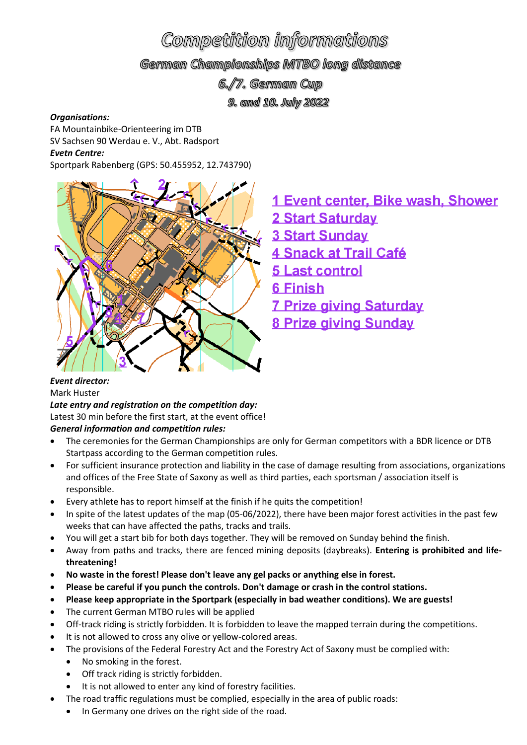# Competition informations

German Championships MTBO long distance

6./7. German Cup

9. and 10. July 2022

#### *Organisations:*

FA Mountainbike-Orienteering im DTB SV Sachsen 90 Werdau e. V., Abt. Radsport

*Evetn Centre:*

Sportpark Rabenberg (GPS: 50.455952, 12.743790)



- 1 Event center, Bike wash, Shower
- 2 Start Saturday
- **3 Start Sunday**
- **4 Snack at Trail Café**
- 5 Last control
- 6 Finish
- **7 Prize giving Saturday**
- **8 Prize giving Sunday**

#### *Event director:* Mark Huster

*Late entry and registration on the competition day:* Latest 30 min before the first start, at the event office! *General information and competition rules:*

- The ceremonies for the German Championships are only for German competitors with a BDR licence or DTB Startpass according to the German competition rules.
- For sufficient insurance protection and liability in the case of damage resulting from associations, organizations and offices of the Free State of Saxony as well as third parties, each sportsman / association itself is responsible.
- Every athlete has to report himself at the finish if he quits the competition!
- In spite of the latest updates of the map (05-06/2022), there have been major forest activities in the past few weeks that can have affected the paths, tracks and trails.
- You will get a start bib for both days together. They will be removed on Sunday behind the finish.
- Away from paths and tracks, there are fenced mining deposits (daybreaks). **Entering is prohibited and lifethreatening!**
- **No waste in the forest! Please don't leave any gel packs or anything else in forest.**
- **Please be careful if you punch the controls. Don't damage or crash in the control stations.**
- **Please keep appropriate in the Sportpark (especially in bad weather conditions). We are guests!**
- The current German MTBO rules will be applied
- Off-track riding is strictly forbidden. It is forbidden to leave the mapped terrain during the competitions.
- It is not allowed to cross any olive or yellow-colored areas.
- The provisions of the Federal Forestry Act and the Forestry Act of Saxony must be complied with:
	- No smoking in the forest.
	- Off track riding is strictly forbidden.
	- It is not allowed to enter any kind of forestry facilities.
- The road traffic regulations must be complied, especially in the area of public roads:
	- In Germany one drives on the right side of the road.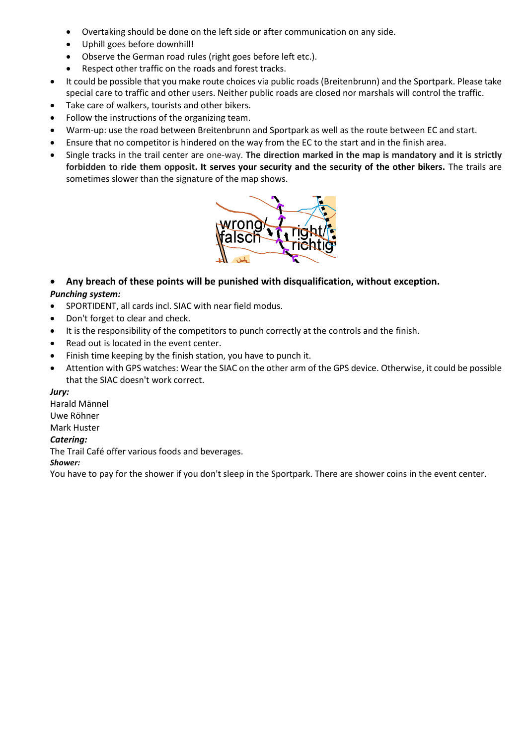- Overtaking should be done on the left side or after communication on any side.
- Uphill goes before downhill!
- Observe the German road rules (right goes before left etc.).
- Respect other traffic on the roads and forest tracks.
- It could be possible that you make route choices via public roads (Breitenbrunn) and the Sportpark. Please take special care to traffic and other users. Neither public roads are closed nor marshals will control the traffic.
- Take care of walkers, tourists and other bikers.
- Follow the instructions of the organizing team.
- Warm-up: use the road between Breitenbrunn and Sportpark as well as the route between EC and start.
- Ensure that no competitor is hindered on the way from the EC to the start and in the finish area.
- Single tracks in the trail center are one-way. **The direction marked in the map is mandatory and it is strictly forbidden to ride them opposit. It serves your security and the security of the other bikers.** The trails are sometimes slower than the signature of the map shows.



- **Any breach of these points will be punished with disqualification, without exception.** *Punching system:*
- SPORTIDENT, all cards incl. SIAC with near field modus.
- Don't forget to clear and check.
- It is the responsibility of the competitors to punch correctly at the controls and the finish.
- Read out is located in the event center.
- Finish time keeping by the finish station, you have to punch it.
- Attention with GPS watches: Wear the SIAC on the other arm of the GPS device. Otherwise, it could be possible that the SIAC doesn't work correct.

*Jury:*

Harald Männel Uwe Röhner

## Mark Huster

#### *Catering:*

The Trail Café offer various foods and beverages.

*Shower:*

You have to pay for the shower if you don't sleep in the Sportpark. There are shower coins in the event center.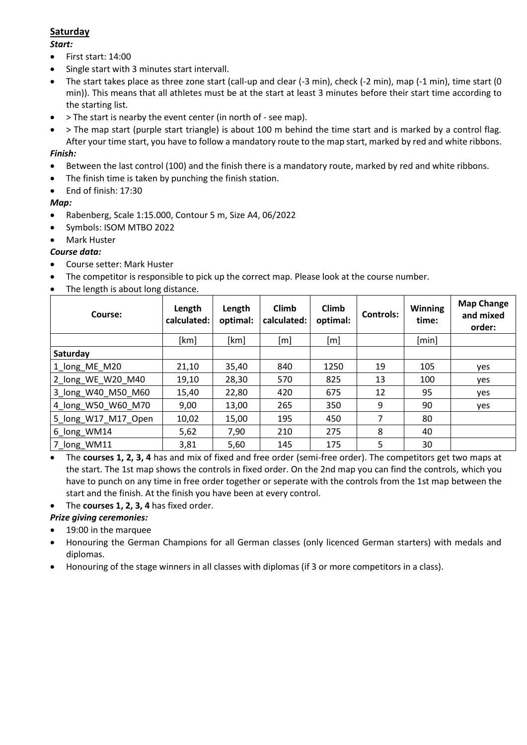## **Saturday**

#### *Start:*

- First start: 14:00
- Single start with 3 minutes start intervall.
- The start takes place as three zone start (call-up and clear (-3 min), check (-2 min), map (-1 min), time start (0 min)). This means that all athletes must be at the start at least 3 minutes before their start time according to the starting list.
- > The start is nearby the event center (in north of see map).
- > The map start (purple start triangle) is about 100 m behind the time start and is marked by a control flag. After your time start, you have to follow a mandatory route to the map start, marked by red and white ribbons.

### *Finish:*

- Between the last control (100) and the finish there is a mandatory route, marked by red and white ribbons.
- The finish time is taken by punching the finish station.
- End of finish: 17:30

#### *Map:*

- Rabenberg, Scale 1:15.000, Contour 5 m, Size A4, 06/2022
- Symbols: ISOM MTBO 2022
- Mark Huster

#### *Course data:*

- Course setter: Mark Huster
- The competitor is responsible to pick up the correct map. Please look at the course number.
- The length is about long distance.

| Course:             | Length<br>calculated: | Length<br>optimal: | Climb<br>calculated: | Climb<br>optimal: | <b>Controls:</b> | <b>Winning</b><br>time: | <b>Map Change</b><br>and mixed<br>order: |
|---------------------|-----------------------|--------------------|----------------------|-------------------|------------------|-------------------------|------------------------------------------|
|                     | [km]                  | [km]               | [m]                  | [m]               |                  | [min]                   |                                          |
| Saturday            |                       |                    |                      |                   |                  |                         |                                          |
| 1_long_ME_M20       | 21,10                 | 35,40              | 840                  | 1250              | 19               | 105                     | yes                                      |
| 2 long WE W20 M40   | 19,10                 | 28,30              | 570                  | 825               | 13               | 100                     | yes                                      |
| 3_long_W40_M50_M60  | 15,40                 | 22,80              | 420                  | 675               | 12               | 95                      | yes                                      |
| 4_long_W50_W60_M70  | 9,00                  | 13,00              | 265                  | 350               | 9                | 90                      | yes                                      |
| 5 long W17 M17 Open | 10,02                 | 15,00              | 195                  | 450               | 7                | 80                      |                                          |
| 6_long_WM14         | 5,62                  | 7,90               | 210                  | 275               | 8                | 40                      |                                          |
| 7_long_WM11         | 3,81                  | 5,60               | 145                  | 175               | 5                | 30                      |                                          |

• The **courses 1, 2, 3, 4** has and mix of fixed and free order (semi-free order). The competitors get two maps at the start. The 1st map shows the controls in fixed order. On the 2nd map you can find the controls, which you have to punch on any time in free order together or seperate with the controls from the 1st map between the start and the finish. At the finish you have been at every control.

• The **courses 1, 2, 3, 4** has fixed order.

#### *Prize giving ceremonies:*

- 19:00 in the marquee
- Honouring the German Champions for all German classes (only licenced German starters) with medals and diplomas.
- Honouring of the stage winners in all classes with diplomas (if 3 or more competitors in a class).